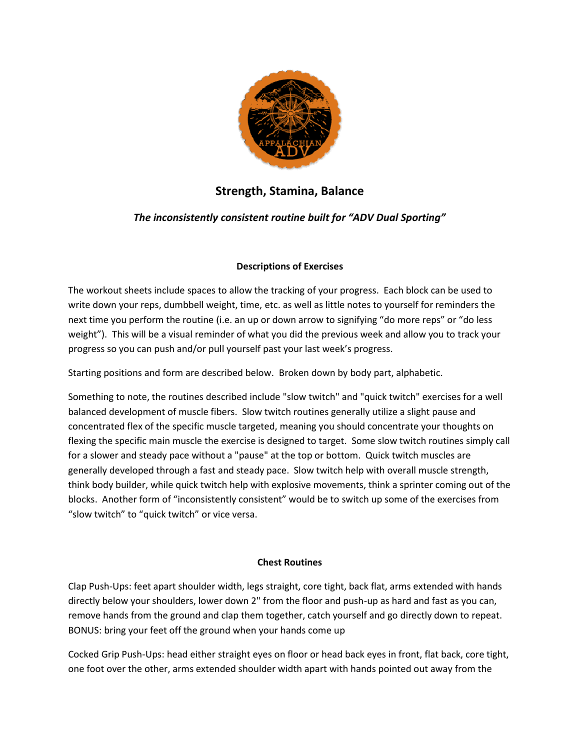

# Strength, Stamina, Balance Strength, Stamina,

## The inconsistently consistent routine built for "ADV Dual Sporting"

## Descriptions of Exercises

The workout sheets include spaces to allow the tracking of your progress. Each block can be used to<br>write down your reps, dumbbell weight, time, etc. as well as little notes to yourself for reminders the write down your reps, dumbbell weight, time, etc. as well as little notes to yourself for reminders the next time you perform the routine (i.e. an up or down arrow to signifying "do more reps" or "do less weight"). This will be a visual reminder of what you did the previous week and allow you to track your progress so you can push and/or pull yourself past your last week's progress. weight"). This will be a visual reminder of what you did the previous week and allow you<br>progress so you can push and/or pull yourself past your last week's progress.<br>Starting positions and form are described below. Broke

Something to note, the routines described include "slow twitch" and "quick twitch" exercises for a well balanced development of muscle fibers. Slow twitch routines generally utilize a slight pause and concentrated flex of the specific muscle targeted, meaning you should concentrate your thoughts on flexing the specific main muscle the exercise is designed to target. Some slow twitch routines simply call for a slower and steady pace without a "pause" at the top or bottom. Quick twitch muscles are generally developed through a fast and steady pace. Slow twitch help with overall muscle strength, generally developed through a fast and steady pace. Slow twitch help with overall muscle strength,<br>think body builder, while quick twitch help with explosive movements, think a sprinter coming out of the blocks. Another form of "inconsistently consistent" would be to switch up some of the exercises from "slow twitch" to "quick twitch" or vice versa. to note, the routines described include "slow twitch" and "quick twitch" exercises for a well<br>evelopment of muscle fibers. Slow twitch routines generally utilize a slight pause and<br>ed flex of the specific muscle targeted, my our reps, dumbbell weight, time, etc. as well as little notes to yourself for reminders the you perform the routine (i.e. an up or down arrow to signifying "do more reps" or "do less this will be a visual reminder of wh

## Chest Routines

Clap Push-Ups: feet apart shoulder width, legs straight, core tight, back flat, arms extended with hands directly below your shoulders, lower down 2" from the floor and push-up as hard and fast as you can, remove hands from the ground and clap them together, catch yourself and go directly down to repeat.<br>BONUS: bring your feet off the ground when your hands come up BONUS: bring your feet off the ground when your hands come u

Cocked Grip Push-Ups: head either straight eyes on floor or head back eyes in front, flat back, core tight, one foot over the other, arms extended shoulder width apart with hands pointed out away from the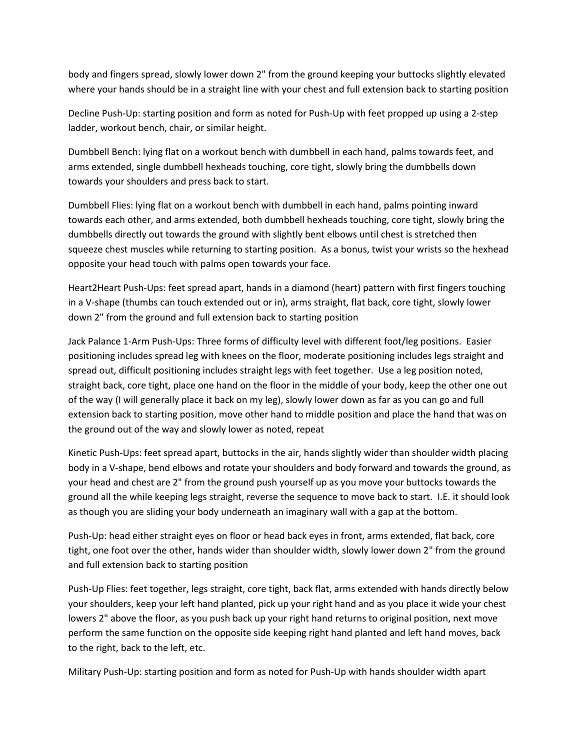body and fingers spread, slowly lower down 2" from the ground keeping your buttocks slightly elevated where your hands should be in a straight line with your chest and full extension back to starting position

Decline Push-Up: starting position and form as noted for Push-Up with feet propped up using a 2-step ladder, workout bench, chair, or similar height.

Dumbbell Bench: lying flat on a workout bench with dumbbell in each hand, palms towards feet, and arms extended, single dumbbell hexheads touching, core tight, slowly bring the dumbbells down towards your shoulders and press back to start.

Dumbbell Flies: lying flat on a workout bench with dumbbell in each hand, palms pointing inward towards each other, and arms extended, both dumbbell hexheads touching, core tight, slowly bring the dumbbells directly out towards the ground with slightly bent elbows until chest is stretched then squeeze chest muscles while returning to starting position. As a bonus, twist your wrists so the hexhead opposite your head touch with palms open towards your face.

Heart2Heart Push-Ups: feet spread apart, hands in a diamond (heart) pattern with first fingers touching in a V-shape (thumbs can touch extended out or in), arms straight, flat back, core tight, slowly lower down 2" from the ground and full extension back to starting position

Jack Palance 1-Arm Push-Ups: Three forms of difficulty level with different foot/leg positions. Easier positioning includes spread leg with knees on the floor, moderate positioning includes legs straight and spread out, difficult positioning includes straight legs with feet together. Use a leg position noted, straight back, core tight, place one hand on the floor in the middle of your body, keep the other one out of the way (I will generally place it back on my leg), slowly lower down as far as you can go and full extension back to starting position, move other hand to middle position and place the hand that was on the ground out of the way and slowly lower as noted, repeat

Kinetic Push-Ups: feet spread apart, buttocks in the air, hands slightly wider than shoulder width placing body in a V-shape, bend elbows and rotate your shoulders and body forward and towards the ground, as your head and chest are 2" from the ground push yourself up as you move your buttocks towards the ground all the while keeping legs straight, reverse the sequence to move back to start. I.E. it should look as though you are sliding your body underneath an imaginary wall with a gap at the bottom.

Push-Up: head either straight eyes on floor or head back eyes in front, arms extended, flat back, core tight, one foot over the other, hands wider than shoulder width, slowly lower down 2" from the ground and full extension back to starting position

Push-Up Flies: feet together, legs straight, core tight, back flat, arms extended with hands directly below your shoulders, keep your left hand planted, pick up your right hand and as you place it wide your chest lowers 2" above the floor, as you push back up your right hand returns to original position, next move perform the same function on the opposite side keeping right hand planted and left hand moves, back to the right, back to the left, etc.

Military Push-Up: starting position and form as noted for Push-Up with hands shoulder width apart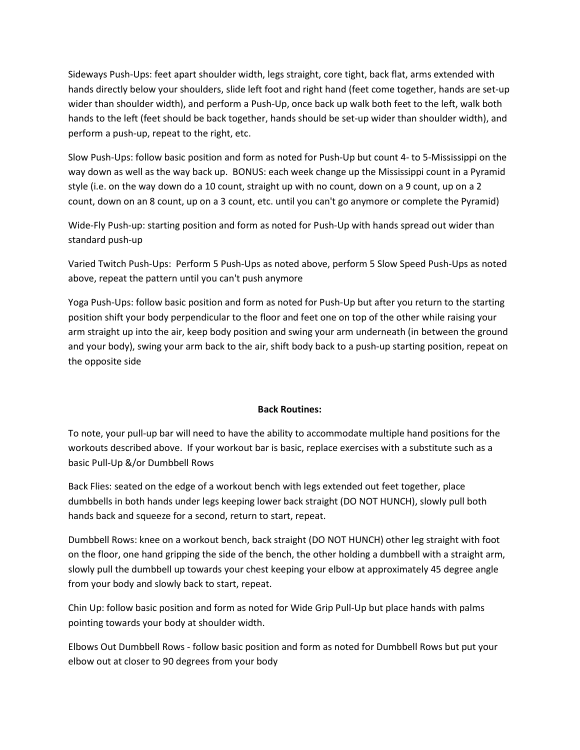Sideways Push-Ups: feet apart shoulder width, legs straight, core tight, back flat, arms extended with hands directly below your shoulders, slide left foot and right hand (feet come together, hands are set-up wider than shoulder width), and perform a Push-Up, once back up walk both feet to the left, walk both hands to the left (feet should be back together, hands should be set-up wider than shoulder width), and perform a push-up, repeat to the right, etc.

Slow Push-Ups: follow basic position and form as noted for Push-Up but count 4- to 5-Mississippi on the way down as well as the way back up. BONUS: each week change up the Mississippi count in a Pyramid style (i.e. on the way down do a 10 count, straight up with no count, down on a 9 count, up on a 2 count, down on an 8 count, up on a 3 count, etc. until you can't go anymore or complete the Pyramid)

Wide-Fly Push-up: starting position and form as noted for Push-Up with hands spread out wider than standard push-up

Varied Twitch Push-Ups: Perform 5 Push-Ups as noted above, perform 5 Slow Speed Push-Ups as noted above, repeat the pattern until you can't push anymore

Yoga Push-Ups: follow basic position and form as noted for Push-Up but after you return to the starting position shift your body perpendicular to the floor and feet one on top of the other while raising your arm straight up into the air, keep body position and swing your arm underneath (in between the ground and your body), swing your arm back to the air, shift body back to a push-up starting position, repeat on the opposite side

#### Back Routines:

To note, your pull-up bar will need to have the ability to accommodate multiple hand positions for the workouts described above. If your workout bar is basic, replace exercises with a substitute such as a basic Pull-Up &/or Dumbbell Rows

Back Flies: seated on the edge of a workout bench with legs extended out feet together, place dumbbells in both hands under legs keeping lower back straight (DO NOT HUNCH), slowly pull both hands back and squeeze for a second, return to start, repeat.

Dumbbell Rows: knee on a workout bench, back straight (DO NOT HUNCH) other leg straight with foot on the floor, one hand gripping the side of the bench, the other holding a dumbbell with a straight arm, slowly pull the dumbbell up towards your chest keeping your elbow at approximately 45 degree angle from your body and slowly back to start, repeat.

Chin Up: follow basic position and form as noted for Wide Grip Pull-Up but place hands with palms pointing towards your body at shoulder width.

Elbows Out Dumbbell Rows - follow basic position and form as noted for Dumbbell Rows but put your elbow out at closer to 90 degrees from your body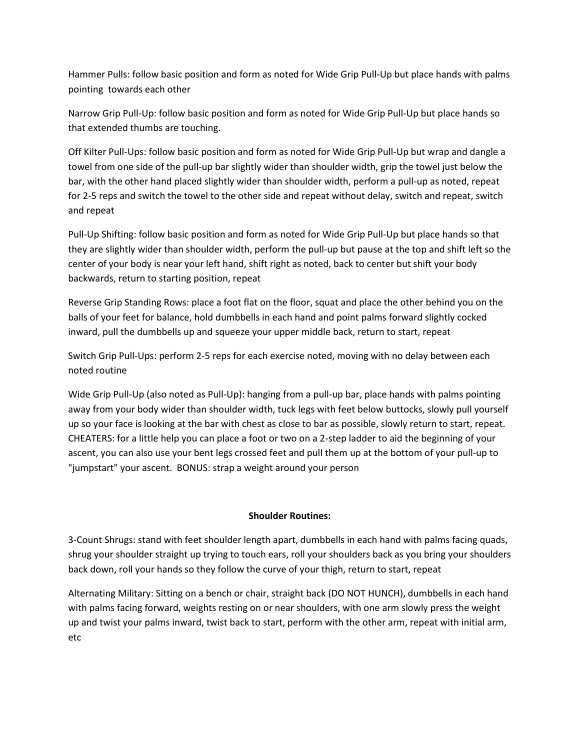Hammer Pulls: follow basic position and form as noted for Wide Grip Pull-Up but place hands with palms pointing towards each other

Narrow Grip Pull-Up: follow basic position and form as noted for Wide Grip Pull-Up but place hands so that extended thumbs are touching.

Off Kilter Pull-Ups: follow basic position and form as noted for Wide Grip Pull-Up but wrap and dangle a towel from one side of the pull-up bar slightly wider than shoulder width, grip the towel just below the bar, with the other hand placed slightly wider than shoulder width, perform a pull-up as noted, repeat for 2-5 reps and switch the towel to the other side and repeat without delay, switch and repeat, switch and repeat

Pull-Up Shifting: follow basic position and form as noted for Wide Grip Pull-Up but place hands so that they are slightly wider than shoulder width, perform the pull-up but pause at the top and shift left so the center of your body is near your left hand, shift right as noted, back to center but shift your body backwards, return to starting position, repeat

Reverse Grip Standing Rows: place a foot flat on the floor, squat and place the other behind you on the balls of your feet for balance, hold dumbbells in each hand and point palms forward slightly cocked inward, pull the dumbbells up and squeeze your upper middle back, return to start, repeat

Switch Grip Pull-Ups: perform 2-5 reps for each exercise noted, moving with no delay between each noted routine

Wide Grip Pull-Up (also noted as Pull-Up): hanging from a pull-up bar, place hands with palms pointing away from your body wider than shoulder width, tuck legs with feet below buttocks, slowly pull yourself up so your face is looking at the bar with chest as close to bar as possible, slowly return to start, repeat. CHEATERS: for a little help you can place a foot or two on a 2-step ladder to aid the beginning of your ascent, you can also use your bent legs crossed feet and pull them up at the bottom of your pull-up to "jumpstart" your ascent. BONUS: strap a weight around your person

## Shoulder Routines:

3-Count Shrugs: stand with feet shoulder length apart, dumbbells in each hand with palms facing quads, shrug your shoulder straight up trying to touch ears, roll your shoulders back as you bring your shoulders back down, roll your hands so they follow the curve of your thigh, return to start, repeat

Alternating Military: Sitting on a bench or chair, straight back (DO NOT HUNCH), dumbbells in each hand with palms facing forward, weights resting on or near shoulders, with one arm slowly press the weight up and twist your palms inward, twist back to start, perform with the other arm, repeat with initial arm, etc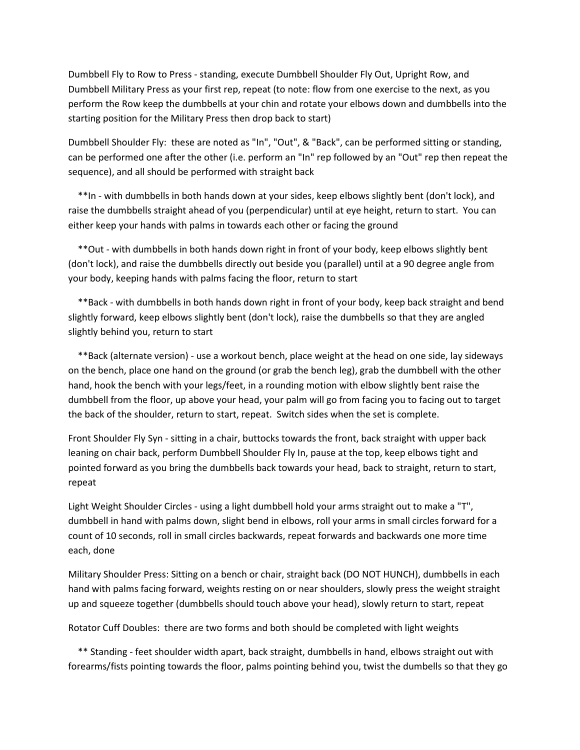Dumbbell Fly to Row to Press - standing, execute Dumbbell Shoulder Fly Out, Upright Row, and Dumbbell Military Press as your first rep, repeat (to note: flow from one exercise to the next, as you perform the Row keep the dumbbells at your chin and rotate your elbows down and dumbbells into the starting position for the Military Press then drop back to start)

Dumbbell Shoulder Fly: these are noted as "In", "Out", & "Back", can be performed sitting or standing, can be performed one after the other (i.e. perform an "In" rep followed by an "Out" rep then repeat the sequence), and all should be performed with straight back

 \*\*In - with dumbbells in both hands down at your sides, keep elbows slightly bent (don't lock), and raise the dumbbells straight ahead of you (perpendicular) until at eye height, return to start. You can either keep your hands with palms in towards each other or facing the ground

 \*\*Out - with dumbbells in both hands down right in front of your body, keep elbows slightly bent (don't lock), and raise the dumbbells directly out beside you (parallel) until at a 90 degree angle from your body, keeping hands with palms facing the floor, return to start

 \*\*Back - with dumbbells in both hands down right in front of your body, keep back straight and bend slightly forward, keep elbows slightly bent (don't lock), raise the dumbbells so that they are angled slightly behind you, return to start

 \*\*Back (alternate version) - use a workout bench, place weight at the head on one side, lay sideways on the bench, place one hand on the ground (or grab the bench leg), grab the dumbbell with the other hand, hook the bench with your legs/feet, in a rounding motion with elbow slightly bent raise the dumbbell from the floor, up above your head, your palm will go from facing you to facing out to target the back of the shoulder, return to start, repeat. Switch sides when the set is complete.

Front Shoulder Fly Syn - sitting in a chair, buttocks towards the front, back straight with upper back leaning on chair back, perform Dumbbell Shoulder Fly In, pause at the top, keep elbows tight and pointed forward as you bring the dumbbells back towards your head, back to straight, return to start, repeat

Light Weight Shoulder Circles - using a light dumbbell hold your arms straight out to make a "T", dumbbell in hand with palms down, slight bend in elbows, roll your arms in small circles forward for a count of 10 seconds, roll in small circles backwards, repeat forwards and backwards one more time each, done

Military Shoulder Press: Sitting on a bench or chair, straight back (DO NOT HUNCH), dumbbells in each hand with palms facing forward, weights resting on or near shoulders, slowly press the weight straight up and squeeze together (dumbbells should touch above your head), slowly return to start, repeat

Rotator Cuff Doubles: there are two forms and both should be completed with light weights

 \*\* Standing - feet shoulder width apart, back straight, dumbbells in hand, elbows straight out with forearms/fists pointing towards the floor, palms pointing behind you, twist the dumbells so that they go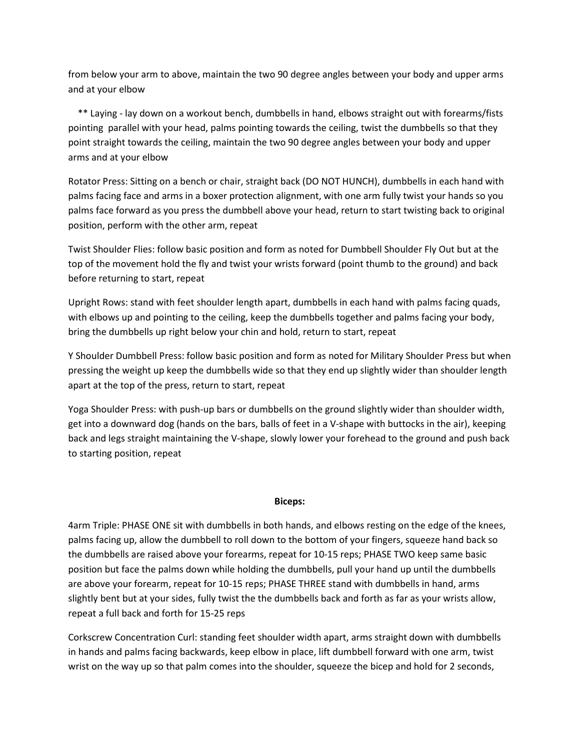from below your arm to above, maintain the two 90 degree angles between your body and upper arms and at your elbow

 \*\* Laying - lay down on a workout bench, dumbbells in hand, elbows straight out with forearms/fists pointing parallel with your head, palms pointing towards the ceiling, twist the dumbbells so that they point straight towards the ceiling, maintain the two 90 degree angles between your body and upper arms and at your elbow

Rotator Press: Sitting on a bench or chair, straight back (DO NOT HUNCH), dumbbells in each hand with palms facing face and arms in a boxer protection alignment, with one arm fully twist your hands so you palms face forward as you press the dumbbell above your head, return to start twisting back to original position, perform with the other arm, repeat

Twist Shoulder Flies: follow basic position and form as noted for Dumbbell Shoulder Fly Out but at the top of the movement hold the fly and twist your wrists forward (point thumb to the ground) and back before returning to start, repeat

Upright Rows: stand with feet shoulder length apart, dumbbells in each hand with palms facing quads, with elbows up and pointing to the ceiling, keep the dumbbells together and palms facing your body, bring the dumbbells up right below your chin and hold, return to start, repeat

Y Shoulder Dumbbell Press: follow basic position and form as noted for Military Shoulder Press but when pressing the weight up keep the dumbbells wide so that they end up slightly wider than shoulder length apart at the top of the press, return to start, repeat

Yoga Shoulder Press: with push-up bars or dumbbells on the ground slightly wider than shoulder width, get into a downward dog (hands on the bars, balls of feet in a V-shape with buttocks in the air), keeping back and legs straight maintaining the V-shape, slowly lower your forehead to the ground and push back to starting position, repeat

#### Biceps:

4arm Triple: PHASE ONE sit with dumbbells in both hands, and elbows resting on the edge of the knees, palms facing up, allow the dumbbell to roll down to the bottom of your fingers, squeeze hand back so the dumbbells are raised above your forearms, repeat for 10-15 reps; PHASE TWO keep same basic position but face the palms down while holding the dumbbells, pull your hand up until the dumbbells are above your forearm, repeat for 10-15 reps; PHASE THREE stand with dumbbells in hand, arms slightly bent but at your sides, fully twist the the dumbbells back and forth as far as your wrists allow, repeat a full back and forth for 15-25 reps

Corkscrew Concentration Curl: standing feet shoulder width apart, arms straight down with dumbbells in hands and palms facing backwards, keep elbow in place, lift dumbbell forward with one arm, twist wrist on the way up so that palm comes into the shoulder, squeeze the bicep and hold for 2 seconds,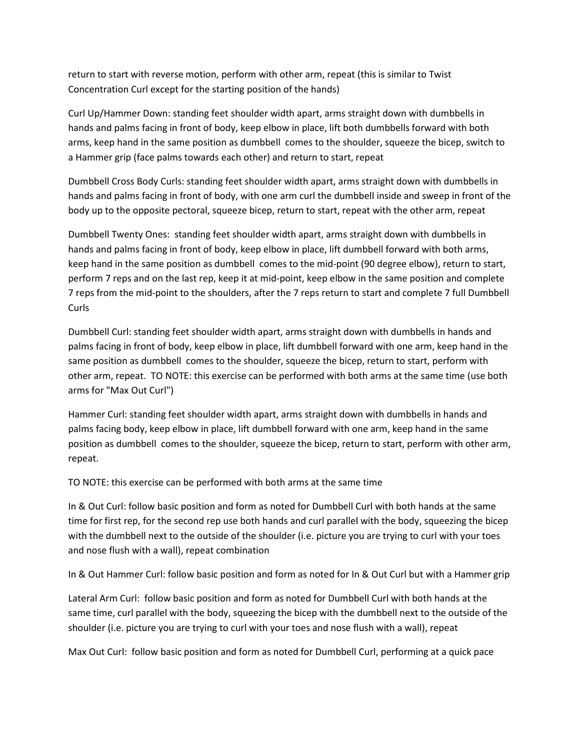return to start with reverse motion, perform with other arm, repeat (this is similar to Twist Concentration Curl except for the starting position of the hands)

Curl Up/Hammer Down: standing feet shoulder width apart, arms straight down with dumbbells in hands and palms facing in front of body, keep elbow in place, lift both dumbbells forward with both arms, keep hand in the same position as dumbbell comes to the shoulder, squeeze the bicep, switch to a Hammer grip (face palms towards each other) and return to start, repeat

Dumbbell Cross Body Curls: standing feet shoulder width apart, arms straight down with dumbbells in hands and palms facing in front of body, with one arm curl the dumbbell inside and sweep in front of the body up to the opposite pectoral, squeeze bicep, return to start, repeat with the other arm, repeat

Dumbbell Twenty Ones: standing feet shoulder width apart, arms straight down with dumbbells in hands and palms facing in front of body, keep elbow in place, lift dumbbell forward with both arms, keep hand in the same position as dumbbell comes to the mid-point (90 degree elbow), return to start, perform 7 reps and on the last rep, keep it at mid-point, keep elbow in the same position and complete 7 reps from the mid-point to the shoulders, after the 7 reps return to start and complete 7 full Dumbbell Curls

Dumbbell Curl: standing feet shoulder width apart, arms straight down with dumbbells in hands and palms facing in front of body, keep elbow in place, lift dumbbell forward with one arm, keep hand in the same position as dumbbell comes to the shoulder, squeeze the bicep, return to start, perform with other arm, repeat. TO NOTE: this exercise can be performed with both arms at the same time (use both arms for "Max Out Curl")

Hammer Curl: standing feet shoulder width apart, arms straight down with dumbbells in hands and palms facing body, keep elbow in place, lift dumbbell forward with one arm, keep hand in the same position as dumbbell comes to the shoulder, squeeze the bicep, return to start, perform with other arm, repeat.

TO NOTE: this exercise can be performed with both arms at the same time

In & Out Curl: follow basic position and form as noted for Dumbbell Curl with both hands at the same time for first rep, for the second rep use both hands and curl parallel with the body, squeezing the bicep with the dumbbell next to the outside of the shoulder (i.e. picture you are trying to curl with your toes and nose flush with a wall), repeat combination

In & Out Hammer Curl: follow basic position and form as noted for In & Out Curl but with a Hammer grip

Lateral Arm Curl: follow basic position and form as noted for Dumbbell Curl with both hands at the same time, curl parallel with the body, squeezing the bicep with the dumbbell next to the outside of the shoulder (i.e. picture you are trying to curl with your toes and nose flush with a wall), repeat

Max Out Curl: follow basic position and form as noted for Dumbbell Curl, performing at a quick pace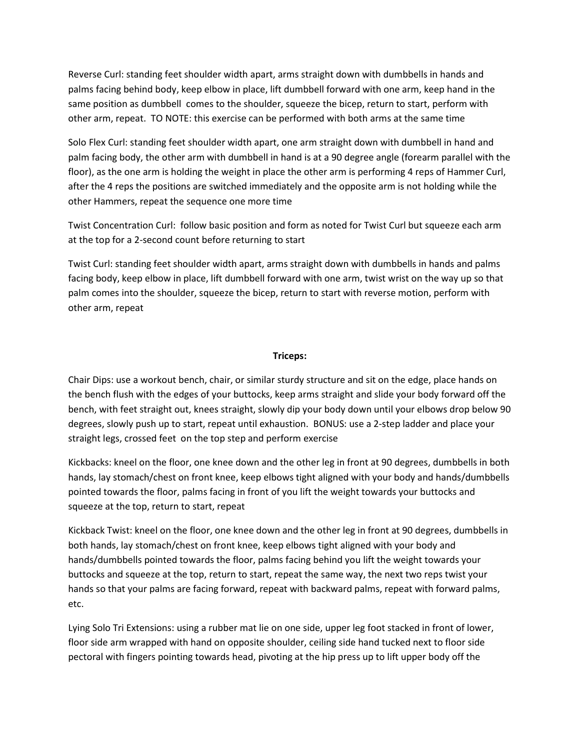Reverse Curl: standing feet shoulder width apart, arms straight down with dumbbells in hands and palms facing behind body, keep elbow in place, lift dumbbell forward with one arm, keep hand in the same position as dumbbell comes to the shoulder, squeeze the bicep, return to start, perform with other arm, repeat. TO NOTE: this exercise can be performed with both arms at the same time

Solo Flex Curl: standing feet shoulder width apart, one arm straight down with dumbbell in hand and palm facing body, the other arm with dumbbell in hand is at a 90 degree angle (forearm parallel with the floor), as the one arm is holding the weight in place the other arm is performing 4 reps of Hammer Curl, after the 4 reps the positions are switched immediately and the opposite arm is not holding while the other Hammers, repeat the sequence one more time

Twist Concentration Curl: follow basic position and form as noted for Twist Curl but squeeze each arm at the top for a 2-second count before returning to start

Twist Curl: standing feet shoulder width apart, arms straight down with dumbbells in hands and palms facing body, keep elbow in place, lift dumbbell forward with one arm, twist wrist on the way up so that palm comes into the shoulder, squeeze the bicep, return to start with reverse motion, perform with other arm, repeat

#### Triceps:

Chair Dips: use a workout bench, chair, or similar sturdy structure and sit on the edge, place hands on the bench flush with the edges of your buttocks, keep arms straight and slide your body forward off the bench, with feet straight out, knees straight, slowly dip your body down until your elbows drop below 90 degrees, slowly push up to start, repeat until exhaustion. BONUS: use a 2-step ladder and place your straight legs, crossed feet on the top step and perform exercise

Kickbacks: kneel on the floor, one knee down and the other leg in front at 90 degrees, dumbbells in both hands, lay stomach/chest on front knee, keep elbows tight aligned with your body and hands/dumbbells pointed towards the floor, palms facing in front of you lift the weight towards your buttocks and squeeze at the top, return to start, repeat

Kickback Twist: kneel on the floor, one knee down and the other leg in front at 90 degrees, dumbbells in both hands, lay stomach/chest on front knee, keep elbows tight aligned with your body and hands/dumbbells pointed towards the floor, palms facing behind you lift the weight towards your buttocks and squeeze at the top, return to start, repeat the same way, the next two reps twist your hands so that your palms are facing forward, repeat with backward palms, repeat with forward palms, etc.

Lying Solo Tri Extensions: using a rubber mat lie on one side, upper leg foot stacked in front of lower, floor side arm wrapped with hand on opposite shoulder, ceiling side hand tucked next to floor side pectoral with fingers pointing towards head, pivoting at the hip press up to lift upper body off the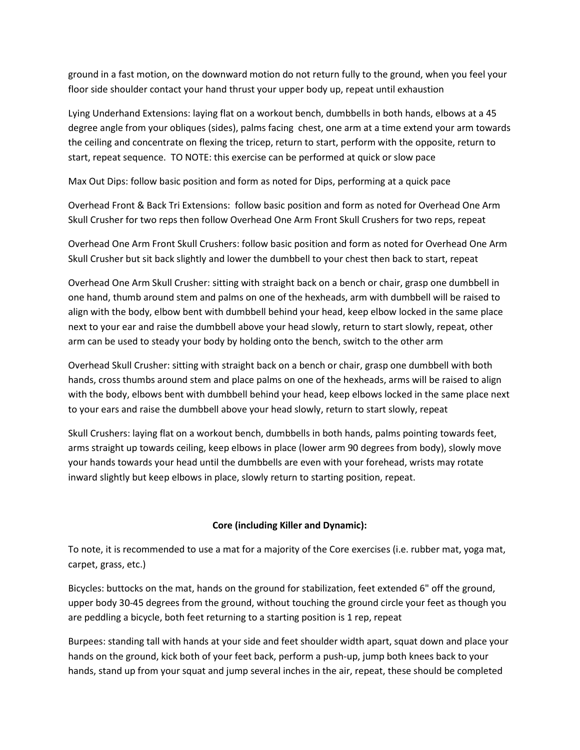ground in a fast motion, on the downward motion do not return fully to the ground, when you feel your floor side shoulder contact your hand thrust your upper body up, repeat until exhaustion

Lying Underhand Extensions: laying flat on a workout bench, dumbbells in both hands, elbows at a 45 degree angle from your obliques (sides), palms facing chest, one arm at a time extend your arm towards the ceiling and concentrate on flexing the tricep, return to start, perform with the opposite, return to start, repeat sequence. TO NOTE: this exercise can be performed at quick or slow pace

Max Out Dips: follow basic position and form as noted for Dips, performing at a quick pace

Overhead Front & Back Tri Extensions: follow basic position and form as noted for Overhead One Arm Skull Crusher for two reps then follow Overhead One Arm Front Skull Crushers for two reps, repeat

Overhead One Arm Front Skull Crushers: follow basic position and form as noted for Overhead One Arm Skull Crusher but sit back slightly and lower the dumbbell to your chest then back to start, repeat

Overhead One Arm Skull Crusher: sitting with straight back on a bench or chair, grasp one dumbbell in one hand, thumb around stem and palms on one of the hexheads, arm with dumbbell will be raised to align with the body, elbow bent with dumbbell behind your head, keep elbow locked in the same place next to your ear and raise the dumbbell above your head slowly, return to start slowly, repeat, other arm can be used to steady your body by holding onto the bench, switch to the other arm

Overhead Skull Crusher: sitting with straight back on a bench or chair, grasp one dumbbell with both hands, cross thumbs around stem and place palms on one of the hexheads, arms will be raised to align with the body, elbows bent with dumbbell behind your head, keep elbows locked in the same place next to your ears and raise the dumbbell above your head slowly, return to start slowly, repeat

Skull Crushers: laying flat on a workout bench, dumbbells in both hands, palms pointing towards feet, arms straight up towards ceiling, keep elbows in place (lower arm 90 degrees from body), slowly move your hands towards your head until the dumbbells are even with your forehead, wrists may rotate inward slightly but keep elbows in place, slowly return to starting position, repeat.

## Core (including Killer and Dynamic):

To note, it is recommended to use a mat for a majority of the Core exercises (i.e. rubber mat, yoga mat, carpet, grass, etc.)

Bicycles: buttocks on the mat, hands on the ground for stabilization, feet extended 6" off the ground, upper body 30-45 degrees from the ground, without touching the ground circle your feet as though you are peddling a bicycle, both feet returning to a starting position is 1 rep, repeat

Burpees: standing tall with hands at your side and feet shoulder width apart, squat down and place your hands on the ground, kick both of your feet back, perform a push-up, jump both knees back to your hands, stand up from your squat and jump several inches in the air, repeat, these should be completed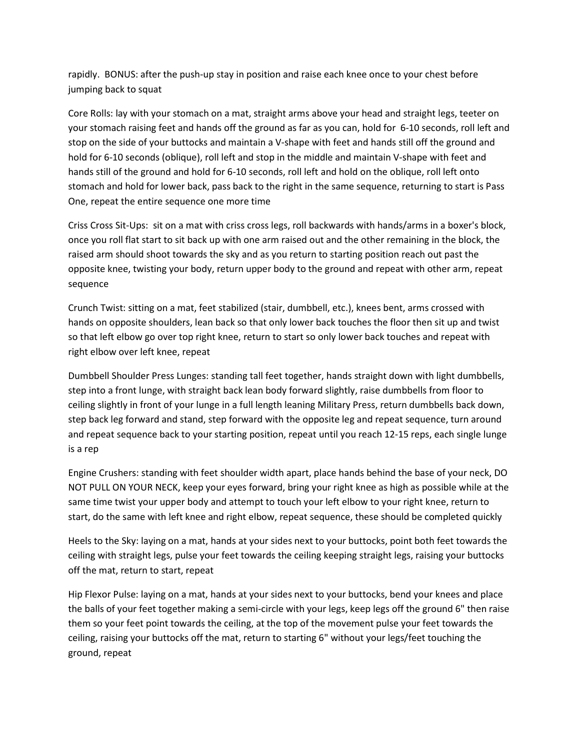rapidly. BONUS: after the push-up stay in position and raise each knee once to your chest before jumping back to squat

Core Rolls: lay with your stomach on a mat, straight arms above your head and straight legs, teeter on your stomach raising feet and hands off the ground as far as you can, hold for 6-10 seconds, roll left and stop on the side of your buttocks and maintain a V-shape with feet and hands still off the ground and hold for 6-10 seconds (oblique), roll left and stop in the middle and maintain V-shape with feet and hands still of the ground and hold for 6-10 seconds, roll left and hold on the oblique, roll left onto stomach and hold for lower back, pass back to the right in the same sequence, returning to start is Pass One, repeat the entire sequence one more time

Criss Cross Sit-Ups: sit on a mat with criss cross legs, roll backwards with hands/arms in a boxer's block, once you roll flat start to sit back up with one arm raised out and the other remaining in the block, the raised arm should shoot towards the sky and as you return to starting position reach out past the opposite knee, twisting your body, return upper body to the ground and repeat with other arm, repeat sequence

Crunch Twist: sitting on a mat, feet stabilized (stair, dumbbell, etc.), knees bent, arms crossed with hands on opposite shoulders, lean back so that only lower back touches the floor then sit up and twist so that left elbow go over top right knee, return to start so only lower back touches and repeat with right elbow over left knee, repeat

Dumbbell Shoulder Press Lunges: standing tall feet together, hands straight down with light dumbbells, step into a front lunge, with straight back lean body forward slightly, raise dumbbells from floor to ceiling slightly in front of your lunge in a full length leaning Military Press, return dumbbells back down, step back leg forward and stand, step forward with the opposite leg and repeat sequence, turn around and repeat sequence back to your starting position, repeat until you reach 12-15 reps, each single lunge is a rep

Engine Crushers: standing with feet shoulder width apart, place hands behind the base of your neck, DO NOT PULL ON YOUR NECK, keep your eyes forward, bring your right knee as high as possible while at the same time twist your upper body and attempt to touch your left elbow to your right knee, return to start, do the same with left knee and right elbow, repeat sequence, these should be completed quickly

Heels to the Sky: laying on a mat, hands at your sides next to your buttocks, point both feet towards the ceiling with straight legs, pulse your feet towards the ceiling keeping straight legs, raising your buttocks off the mat, return to start, repeat

Hip Flexor Pulse: laying on a mat, hands at your sides next to your buttocks, bend your knees and place the balls of your feet together making a semi-circle with your legs, keep legs off the ground 6" then raise them so your feet point towards the ceiling, at the top of the movement pulse your feet towards the ceiling, raising your buttocks off the mat, return to starting 6" without your legs/feet touching the ground, repeat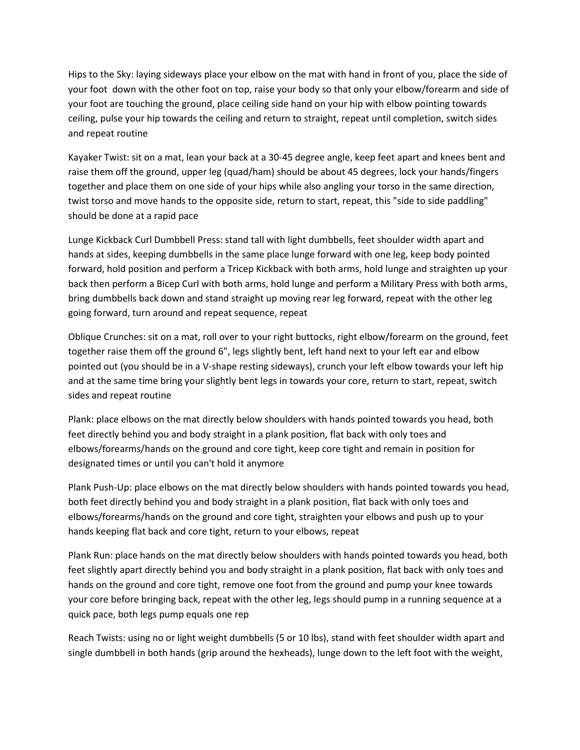Hips to the Sky: laying sideways place your elbow on the mat with hand in front of you, place the side of your foot down with the other foot on top, raise your body so that only your elbow/forearm and side of your foot are touching the ground, place ceiling side hand on your hip with elbow pointing towards ceiling, pulse your hip towards the ceiling and return to straight, repeat until completion, switch sides and repeat routine

Kayaker Twist: sit on a mat, lean your back at a 30-45 degree angle, keep feet apart and knees bent and raise them off the ground, upper leg (quad/ham) should be about 45 degrees, lock your hands/fingers together and place them on one side of your hips while also angling your torso in the same direction, twist torso and move hands to the opposite side, return to start, repeat, this "side to side paddling" should be done at a rapid pace

Lunge Kickback Curl Dumbbell Press: stand tall with light dumbbells, feet shoulder width apart and hands at sides, keeping dumbbells in the same place lunge forward with one leg, keep body pointed forward, hold position and perform a Tricep Kickback with both arms, hold lunge and straighten up your back then perform a Bicep Curl with both arms, hold lunge and perform a Military Press with both arms, bring dumbbells back down and stand straight up moving rear leg forward, repeat with the other leg going forward, turn around and repeat sequence, repeat

Oblique Crunches: sit on a mat, roll over to your right buttocks, right elbow/forearm on the ground, feet together raise them off the ground 6", legs slightly bent, left hand next to your left ear and elbow pointed out (you should be in a V-shape resting sideways), crunch your left elbow towards your left hip and at the same time bring your slightly bent legs in towards your core, return to start, repeat, switch sides and repeat routine

Plank: place elbows on the mat directly below shoulders with hands pointed towards you head, both feet directly behind you and body straight in a plank position, flat back with only toes and elbows/forearms/hands on the ground and core tight, keep core tight and remain in position for designated times or until you can't hold it anymore

Plank Push-Up: place elbows on the mat directly below shoulders with hands pointed towards you head, both feet directly behind you and body straight in a plank position, flat back with only toes and elbows/forearms/hands on the ground and core tight, straighten your elbows and push up to your hands keeping flat back and core tight, return to your elbows, repeat

Plank Run: place hands on the mat directly below shoulders with hands pointed towards you head, both feet slightly apart directly behind you and body straight in a plank position, flat back with only toes and hands on the ground and core tight, remove one foot from the ground and pump your knee towards your core before bringing back, repeat with the other leg, legs should pump in a running sequence at a quick pace, both legs pump equals one rep

Reach Twists: using no or light weight dumbbells (5 or 10 lbs), stand with feet shoulder width apart and single dumbbell in both hands (grip around the hexheads), lunge down to the left foot with the weight,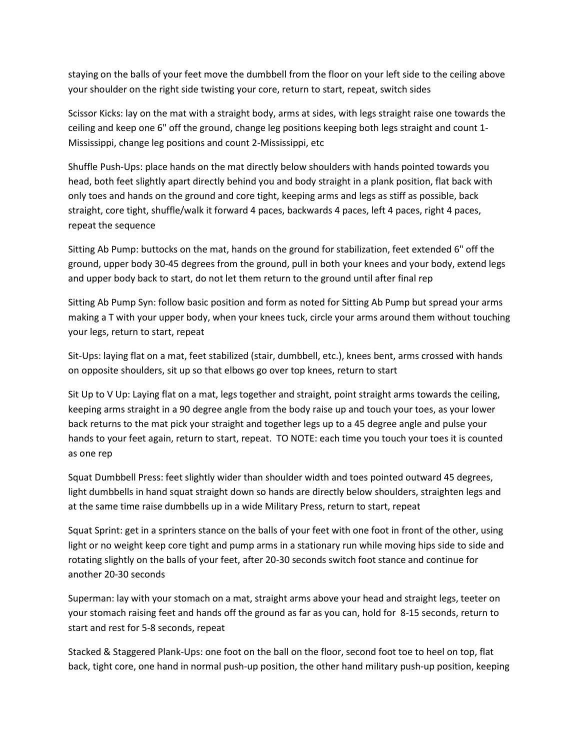staying on the balls of your feet move the dumbbell from the floor on your left side to the ceiling above your shoulder on the right side twisting your core, return to start, repeat, switch sides

Scissor Kicks: lay on the mat with a straight body, arms at sides, with legs straight raise one towards the ceiling and keep one 6" off the ground, change leg positions keeping both legs straight and count 1- Mississippi, change leg positions and count 2-Mississippi, etc

Shuffle Push-Ups: place hands on the mat directly below shoulders with hands pointed towards you head, both feet slightly apart directly behind you and body straight in a plank position, flat back with only toes and hands on the ground and core tight, keeping arms and legs as stiff as possible, back straight, core tight, shuffle/walk it forward 4 paces, backwards 4 paces, left 4 paces, right 4 paces, repeat the sequence

Sitting Ab Pump: buttocks on the mat, hands on the ground for stabilization, feet extended 6" off the ground, upper body 30-45 degrees from the ground, pull in both your knees and your body, extend legs and upper body back to start, do not let them return to the ground until after final rep

Sitting Ab Pump Syn: follow basic position and form as noted for Sitting Ab Pump but spread your arms making a T with your upper body, when your knees tuck, circle your arms around them without touching your legs, return to start, repeat

Sit-Ups: laying flat on a mat, feet stabilized (stair, dumbbell, etc.), knees bent, arms crossed with hands on opposite shoulders, sit up so that elbows go over top knees, return to start

Sit Up to V Up: Laying flat on a mat, legs together and straight, point straight arms towards the ceiling, keeping arms straight in a 90 degree angle from the body raise up and touch your toes, as your lower back returns to the mat pick your straight and together legs up to a 45 degree angle and pulse your hands to your feet again, return to start, repeat. TO NOTE: each time you touch your toes it is counted as one rep

Squat Dumbbell Press: feet slightly wider than shoulder width and toes pointed outward 45 degrees, light dumbbells in hand squat straight down so hands are directly below shoulders, straighten legs and at the same time raise dumbbells up in a wide Military Press, return to start, repeat

Squat Sprint: get in a sprinters stance on the balls of your feet with one foot in front of the other, using light or no weight keep core tight and pump arms in a stationary run while moving hips side to side and rotating slightly on the balls of your feet, after 20-30 seconds switch foot stance and continue for another 20-30 seconds

Superman: lay with your stomach on a mat, straight arms above your head and straight legs, teeter on your stomach raising feet and hands off the ground as far as you can, hold for 8-15 seconds, return to start and rest for 5-8 seconds, repeat

Stacked & Staggered Plank-Ups: one foot on the ball on the floor, second foot toe to heel on top, flat back, tight core, one hand in normal push-up position, the other hand military push-up position, keeping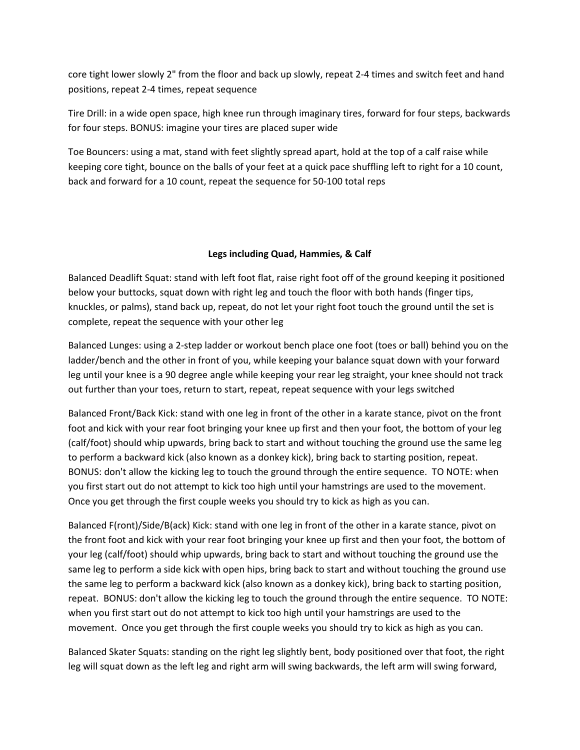core tight lower slowly 2" from the floor and back up slowly, repeat 2-4 times and switch feet and hand positions, repeat 2-4 times, repeat sequence

Tire Drill: in a wide open space, high knee run through imaginary tires, forward for four steps, backwards for four steps. BONUS: imagine your tires are placed super wide

Toe Bouncers: using a mat, stand with feet slightly spread apart, hold at the top of a calf raise while keeping core tight, bounce on the balls of your feet at a quick pace shuffling left to right for a 10 count, back and forward for a 10 count, repeat the sequence for 50-100 total reps

#### Legs including Quad, Hammies, & Calf

Balanced Deadlift Squat: stand with left foot flat, raise right foot off of the ground keeping it positioned below your buttocks, squat down with right leg and touch the floor with both hands (finger tips, knuckles, or palms), stand back up, repeat, do not let your right foot touch the ground until the set is complete, repeat the sequence with your other leg

Balanced Lunges: using a 2-step ladder or workout bench place one foot (toes or ball) behind you on the ladder/bench and the other in front of you, while keeping your balance squat down with your forward leg until your knee is a 90 degree angle while keeping your rear leg straight, your knee should not track out further than your toes, return to start, repeat, repeat sequence with your legs switched

Balanced Front/Back Kick: stand with one leg in front of the other in a karate stance, pivot on the front foot and kick with your rear foot bringing your knee up first and then your foot, the bottom of your leg (calf/foot) should whip upwards, bring back to start and without touching the ground use the same leg to perform a backward kick (also known as a donkey kick), bring back to starting position, repeat. BONUS: don't allow the kicking leg to touch the ground through the entire sequence. TO NOTE: when you first start out do not attempt to kick too high until your hamstrings are used to the movement. Once you get through the first couple weeks you should try to kick as high as you can.

Balanced F(ront)/Side/B(ack) Kick: stand with one leg in front of the other in a karate stance, pivot on the front foot and kick with your rear foot bringing your knee up first and then your foot, the bottom of your leg (calf/foot) should whip upwards, bring back to start and without touching the ground use the same leg to perform a side kick with open hips, bring back to start and without touching the ground use the same leg to perform a backward kick (also known as a donkey kick), bring back to starting position, repeat. BONUS: don't allow the kicking leg to touch the ground through the entire sequence. TO NOTE: when you first start out do not attempt to kick too high until your hamstrings are used to the movement. Once you get through the first couple weeks you should try to kick as high as you can.

Balanced Skater Squats: standing on the right leg slightly bent, body positioned over that foot, the right leg will squat down as the left leg and right arm will swing backwards, the left arm will swing forward,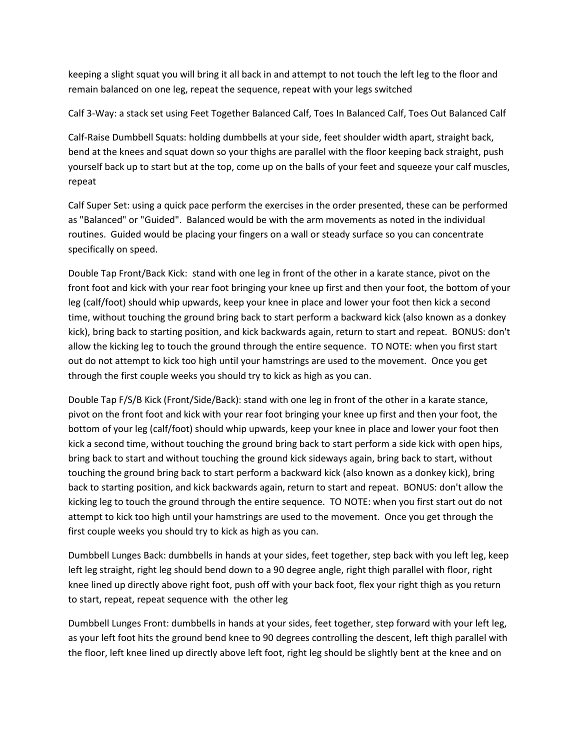keeping a slight squat you will bring it all back in and attempt to not touch the left leg to the floor and remain balanced on one leg, repeat the sequence, repeat with your legs switched

Calf 3-Way: a stack set using Feet Together Balanced Calf, Toes In Balanced Calf, Toes Out Balanced Calf

Calf-Raise Dumbbell Squats: holding dumbbells at your side, feet shoulder width apart, straight back, bend at the knees and squat down so your thighs are parallel with the floor keeping back straight, push yourself back up to start but at the top, come up on the balls of your feet and squeeze your calf muscles, repeat

Calf Super Set: using a quick pace perform the exercises in the order presented, these can be performed as "Balanced" or "Guided". Balanced would be with the arm movements as noted in the individual routines. Guided would be placing your fingers on a wall or steady surface so you can concentrate specifically on speed.

Double Tap Front/Back Kick: stand with one leg in front of the other in a karate stance, pivot on the front foot and kick with your rear foot bringing your knee up first and then your foot, the bottom of your leg (calf/foot) should whip upwards, keep your knee in place and lower your foot then kick a second time, without touching the ground bring back to start perform a backward kick (also known as a donkey kick), bring back to starting position, and kick backwards again, return to start and repeat. BONUS: don't allow the kicking leg to touch the ground through the entire sequence. TO NOTE: when you first start out do not attempt to kick too high until your hamstrings are used to the movement. Once you get through the first couple weeks you should try to kick as high as you can.

Double Tap F/S/B Kick (Front/Side/Back): stand with one leg in front of the other in a karate stance, pivot on the front foot and kick with your rear foot bringing your knee up first and then your foot, the bottom of your leg (calf/foot) should whip upwards, keep your knee in place and lower your foot then kick a second time, without touching the ground bring back to start perform a side kick with open hips, bring back to start and without touching the ground kick sideways again, bring back to start, without touching the ground bring back to start perform a backward kick (also known as a donkey kick), bring back to starting position, and kick backwards again, return to start and repeat. BONUS: don't allow the kicking leg to touch the ground through the entire sequence. TO NOTE: when you first start out do not attempt to kick too high until your hamstrings are used to the movement. Once you get through the first couple weeks you should try to kick as high as you can.

Dumbbell Lunges Back: dumbbells in hands at your sides, feet together, step back with you left leg, keep left leg straight, right leg should bend down to a 90 degree angle, right thigh parallel with floor, right knee lined up directly above right foot, push off with your back foot, flex your right thigh as you return to start, repeat, repeat sequence with the other leg

Dumbbell Lunges Front: dumbbells in hands at your sides, feet together, step forward with your left leg, as your left foot hits the ground bend knee to 90 degrees controlling the descent, left thigh parallel with the floor, left knee lined up directly above left foot, right leg should be slightly bent at the knee and on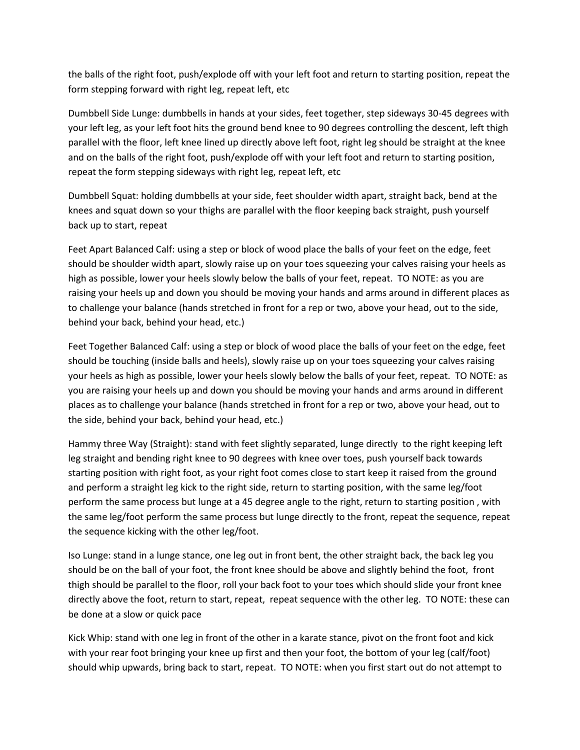the balls of the right foot, push/explode off with your left foot and return to starting position, repeat the form stepping forward with right leg, repeat left, etc

Dumbbell Side Lunge: dumbbells in hands at your sides, feet together, step sideways 30-45 degrees with your left leg, as your left foot hits the ground bend knee to 90 degrees controlling the descent, left thigh parallel with the floor, left knee lined up directly above left foot, right leg should be straight at the knee and on the balls of the right foot, push/explode off with your left foot and return to starting position, repeat the form stepping sideways with right leg, repeat left, etc

Dumbbell Squat: holding dumbbells at your side, feet shoulder width apart, straight back, bend at the knees and squat down so your thighs are parallel with the floor keeping back straight, push yourself back up to start, repeat

Feet Apart Balanced Calf: using a step or block of wood place the balls of your feet on the edge, feet should be shoulder width apart, slowly raise up on your toes squeezing your calves raising your heels as high as possible, lower your heels slowly below the balls of your feet, repeat. TO NOTE: as you are raising your heels up and down you should be moving your hands and arms around in different places as to challenge your balance (hands stretched in front for a rep or two, above your head, out to the side, behind your back, behind your head, etc.)

Feet Together Balanced Calf: using a step or block of wood place the balls of your feet on the edge, feet should be touching (inside balls and heels), slowly raise up on your toes squeezing your calves raising your heels as high as possible, lower your heels slowly below the balls of your feet, repeat. TO NOTE: as you are raising your heels up and down you should be moving your hands and arms around in different places as to challenge your balance (hands stretched in front for a rep or two, above your head, out to the side, behind your back, behind your head, etc.)

Hammy three Way (Straight): stand with feet slightly separated, lunge directly to the right keeping left leg straight and bending right knee to 90 degrees with knee over toes, push yourself back towards starting position with right foot, as your right foot comes close to start keep it raised from the ground and perform a straight leg kick to the right side, return to starting position, with the same leg/foot perform the same process but lunge at a 45 degree angle to the right, return to starting position , with the same leg/foot perform the same process but lunge directly to the front, repeat the sequence, repeat the sequence kicking with the other leg/foot.

Iso Lunge: stand in a lunge stance, one leg out in front bent, the other straight back, the back leg you should be on the ball of your foot, the front knee should be above and slightly behind the foot, front thigh should be parallel to the floor, roll your back foot to your toes which should slide your front knee directly above the foot, return to start, repeat, repeat sequence with the other leg. TO NOTE: these can be done at a slow or quick pace

Kick Whip: stand with one leg in front of the other in a karate stance, pivot on the front foot and kick with your rear foot bringing your knee up first and then your foot, the bottom of your leg (calf/foot) should whip upwards, bring back to start, repeat. TO NOTE: when you first start out do not attempt to